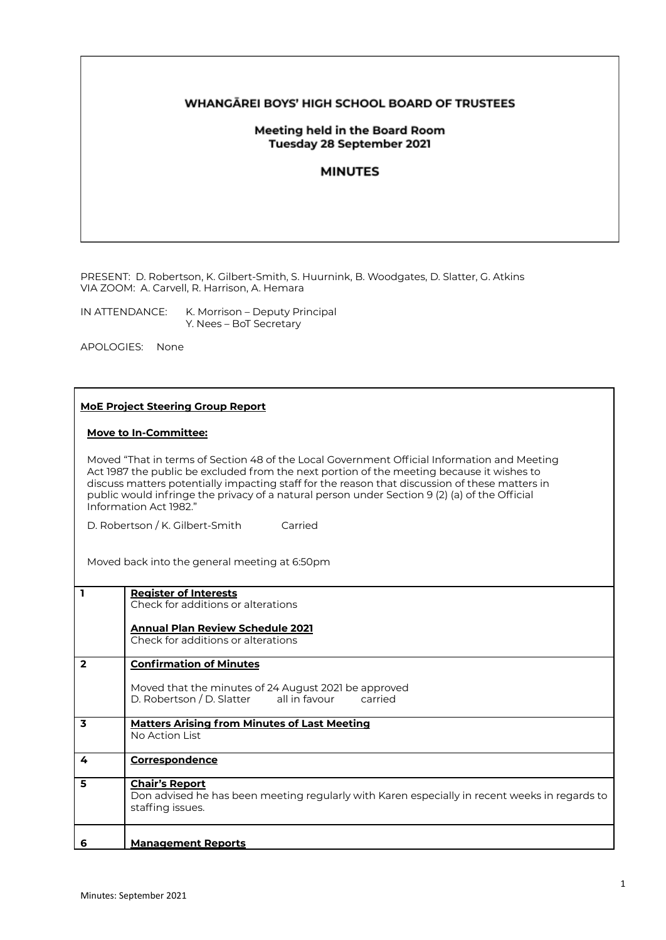# **WHANGAREI BOYS' HIGH SCHOOL BOARD OF TRUSTEES**

## Meeting held in the Board Room Tuesday 28 September 2021

## **MINUTES**

PRESENT: D. Robertson, K. Gilbert-Smith, S. Huurnink, B. Woodgates, D. Slatter, G. Atkins VIA ZOOM: A. Carvell, R. Harrison, A. Hemara

IN ATTENDANCE: K. Morrison – Deputy Principal Y. Nees – BoT Secretary

APOLOGIES: None

#### **MoE Project Steering Group Report**

### **Move to In-Committee:**

Moved "That in terms of Section 48 of the Local Government Official Information and Meeting Act 1987 the public be excluded from the next portion of the meeting because it wishes to discuss matters potentially impacting staff for the reason that discussion of these matters in public would infringe the privacy of a natural person under Section 9 (2) (a) of the Official Information Act 1982."

D. Robertson / K. Gilbert-Smith Carried

Moved back into the general meeting at 6:50pm

| ı              | <b>Register of Interests</b><br>Check for additions or alterations                            |
|----------------|-----------------------------------------------------------------------------------------------|
|                |                                                                                               |
|                | <b>Annual Plan Review Schedule 2021</b>                                                       |
|                | Check for additions or alterations                                                            |
| $\overline{2}$ | <b>Confirmation of Minutes</b>                                                                |
|                | Moved that the minutes of 24 August 2021 be approved                                          |
|                | D. Robertson / D. Slatter all in favour<br>carried                                            |
| 3              | <b>Matters Arising from Minutes of Last Meeting</b>                                           |
|                | No Action List                                                                                |
|                |                                                                                               |
| 4              | <b>Correspondence</b>                                                                         |
| 5              | <b>Chair's Report</b>                                                                         |
|                | Don advised he has been meeting regularly with Karen especially in recent weeks in regards to |
|                | staffing issues.                                                                              |
|                |                                                                                               |
| 6              | <b>Management Reports</b>                                                                     |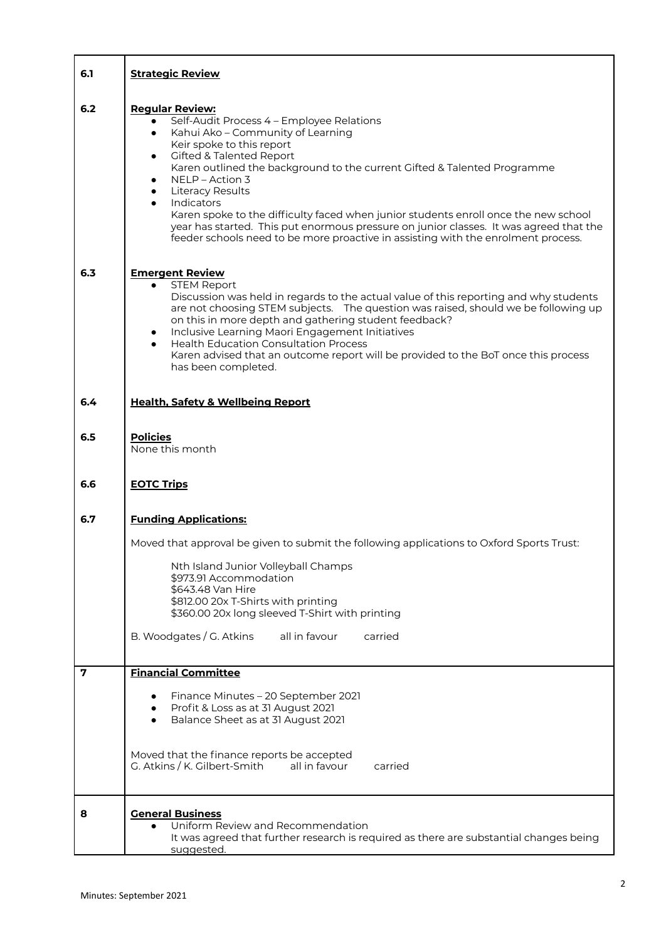| 6.1 | <b>Strategic Review</b>                                                                                                                                                                                                                                                                                                                                                                                                                                                                                                                                                                                      |
|-----|--------------------------------------------------------------------------------------------------------------------------------------------------------------------------------------------------------------------------------------------------------------------------------------------------------------------------------------------------------------------------------------------------------------------------------------------------------------------------------------------------------------------------------------------------------------------------------------------------------------|
| 6.2 | <b>Regular Review:</b><br>Self-Audit Process 4 - Employee Relations<br>Kahui Ako - Community of Learning<br>$\bullet$<br>Keir spoke to this report<br><b>Gifted &amp; Talented Report</b><br>٠<br>Karen outlined the background to the current Gifted & Talented Programme<br>NELP - Action 3<br><b>Literacy Results</b><br>Indicators<br>Karen spoke to the difficulty faced when junior students enroll once the new school<br>year has started. This put enormous pressure on junior classes. It was agreed that the<br>feeder schools need to be more proactive in assisting with the enrolment process. |
| 6.3 | <b>Emergent Review</b><br><b>STEM Report</b><br>$\bullet$<br>Discussion was held in regards to the actual value of this reporting and why students<br>are not choosing STEM subjects. The question was raised, should we be following up<br>on this in more depth and gathering student feedback?<br>Inclusive Learning Maori Engagement Initiatives<br><b>Health Education Consultation Process</b><br>Karen advised that an outcome report will be provided to the BoT once this process<br>has been completed.                                                                                            |
| 6.4 | <b>Health, Safety &amp; Wellbeing Report</b>                                                                                                                                                                                                                                                                                                                                                                                                                                                                                                                                                                 |
| 6.5 | <b>Policies</b><br>None this month                                                                                                                                                                                                                                                                                                                                                                                                                                                                                                                                                                           |
| 6.6 | <b>EOTC Trips</b>                                                                                                                                                                                                                                                                                                                                                                                                                                                                                                                                                                                            |
| 6.7 | <b>Funding Applications:</b>                                                                                                                                                                                                                                                                                                                                                                                                                                                                                                                                                                                 |
|     | Moved that approval be given to submit the following applications to Oxford Sports Trust:<br>Nth Island Junior Volleyball Champs                                                                                                                                                                                                                                                                                                                                                                                                                                                                             |
|     | \$973.91 Accommodation<br>\$643.48 Van Hire                                                                                                                                                                                                                                                                                                                                                                                                                                                                                                                                                                  |
|     | \$812.00 20x T-Shirts with printing<br>\$360.00 20x long sleeved T-Shirt with printing                                                                                                                                                                                                                                                                                                                                                                                                                                                                                                                       |
|     | B. Woodgates / G. Atkins<br>all in favour<br>carried                                                                                                                                                                                                                                                                                                                                                                                                                                                                                                                                                         |
| 7   | <b>Financial Committee</b>                                                                                                                                                                                                                                                                                                                                                                                                                                                                                                                                                                                   |
|     | Finance Minutes - 20 September 2021<br>Profit & Loss as at 31 August 2021<br>Balance Sheet as at 31 August 2021                                                                                                                                                                                                                                                                                                                                                                                                                                                                                              |
|     | Moved that the finance reports be accepted<br>G. Atkins / K. Gilbert-Smith<br>all in favour<br>carried                                                                                                                                                                                                                                                                                                                                                                                                                                                                                                       |
| 8   | <b>General Business</b><br>Uniform Review and Recommendation<br>It was agreed that further research is required as there are substantial changes being<br>suggested.                                                                                                                                                                                                                                                                                                                                                                                                                                         |

 $\overline{\phantom{a}}$ 

T

٦